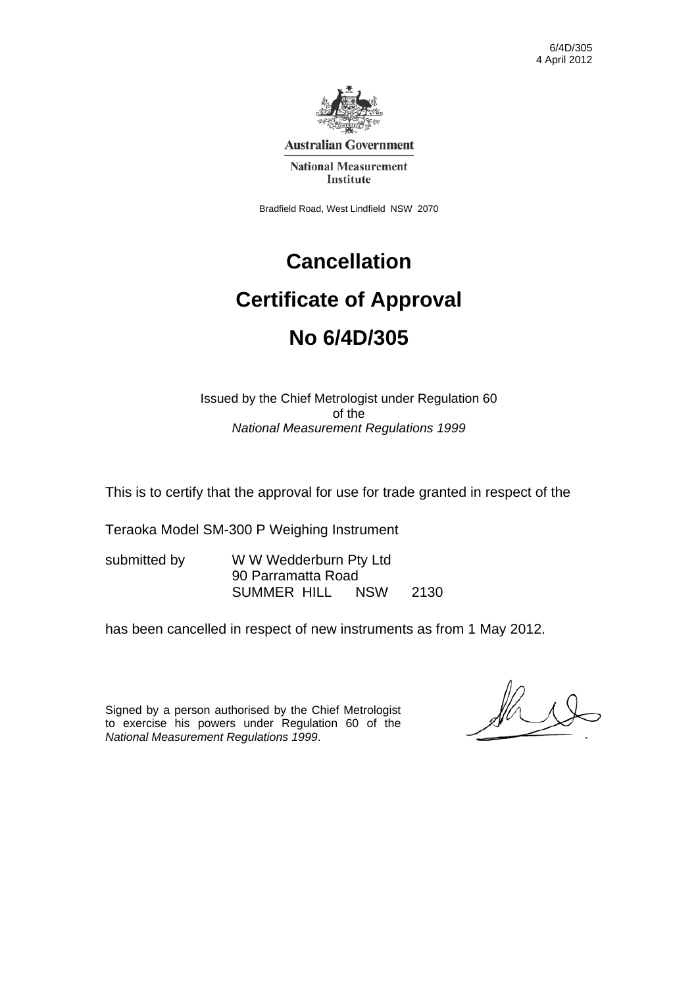Bradfield Road, West Lindfield NSW 2070

# **Cancellation Certificate of Approval No 6/4D/305**

#### Issued by the Chief Metrologist under Regulation 60 of the *National Measurement Regulations 1999*

This is to certify that the approval for use for trade granted in respect of the

Teraoka Model SM-300 P Weighing Instrument

| submitted by | W W Wedderburn Pty Ltd |            |      |  |
|--------------|------------------------|------------|------|--|
|              | 90 Parramatta Road     |            |      |  |
|              | SUMMER HILL            | <b>NSW</b> | 2130 |  |

has been cancelled in respect of new instruments as from 1 May 2012.

Signed by a person authorised by the Chief Metrologist to exercise his powers under Regulation 60 of the *National Measurement Regulations 1999*.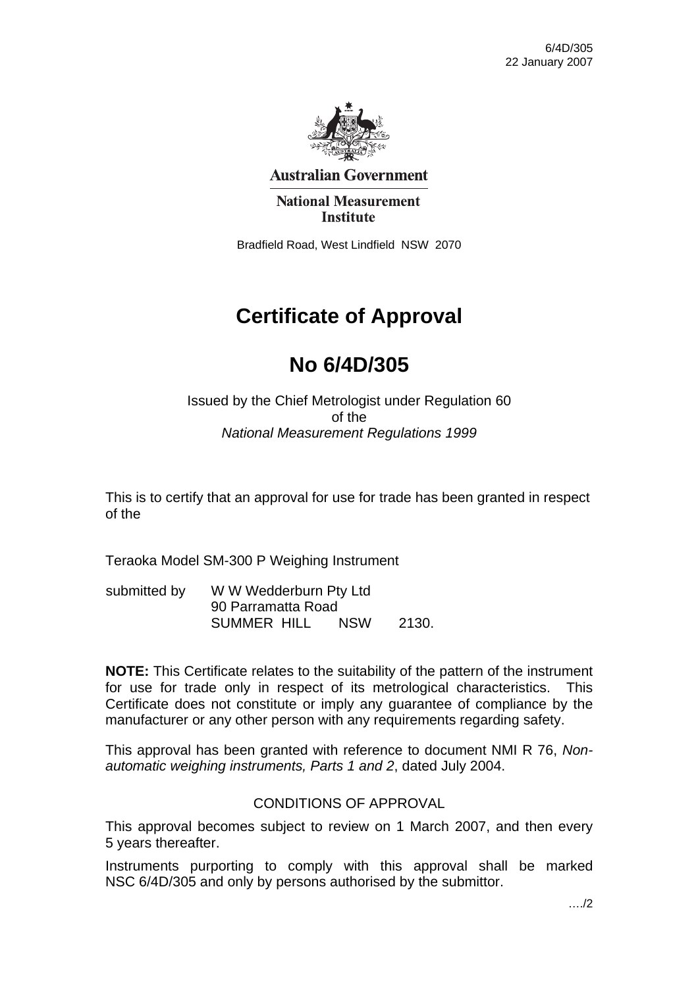

**Australian Government** 

**National Measurement Institute** 

Bradfield Road, West Lindfield NSW 2070

# **Certificate of Approval**

# **No 6/4D/305**

#### Issued by the Chief Metrologist under Regulation 60 of the *National Measurement Regulations 1999*

This is to certify that an approval for use for trade has been granted in respect of the

Teraoka Model SM-300 P Weighing Instrument

submitted by W W Wedderburn Pty Ltd 90 Parramatta Road SUMMER HILL NSW 2130.

**NOTE:** This Certificate relates to the suitability of the pattern of the instrument for use for trade only in respect of its metrological characteristics. This Certificate does not constitute or imply any guarantee of compliance by the manufacturer or any other person with any requirements regarding safety.

This approval has been granted with reference to document NMI R 76, *Nonautomatic weighing instruments, Parts 1 and 2*, dated July 2004.

#### CONDITIONS OF APPROVAL

This approval becomes subject to review on 1 March 2007, and then every 5 years thereafter.

Instruments purporting to comply with this approval shall be marked NSC 6/4D/305 and only by persons authorised by the submittor.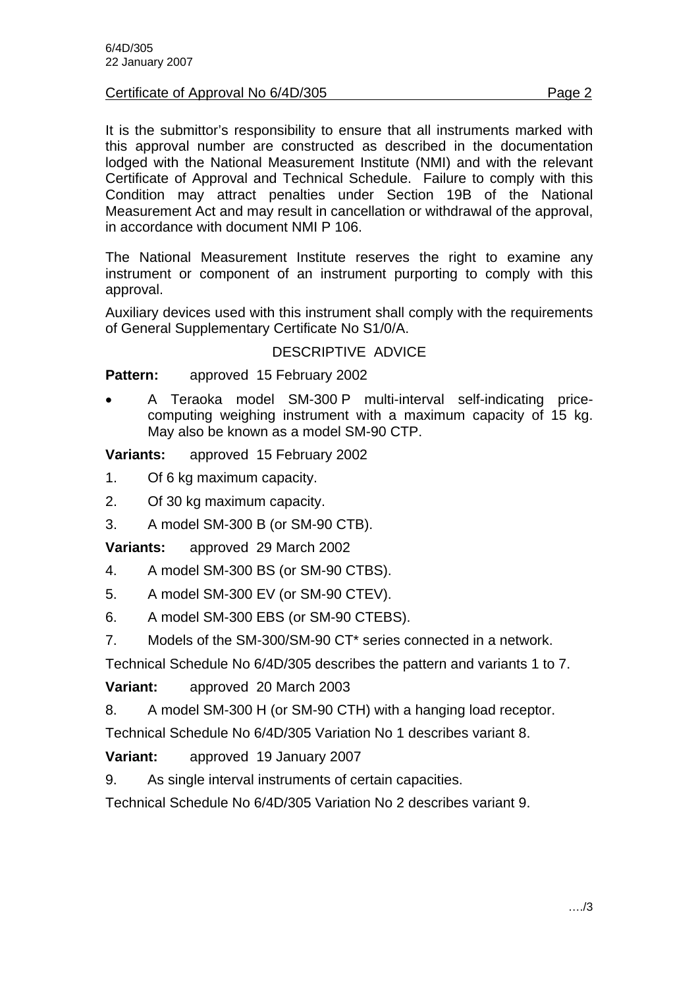Certificate of Approval No 6/4D/305

It is the submittor's responsibility to ensure that all instruments marked with this approval number are constructed as described in the documentation lodged with the National Measurement Institute (NMI) and with the relevant Certificate of Approval and Technical Schedule. Failure to comply with this Condition may attract penalties under Section 19B of the National Measurement Act and may result in cancellation or withdrawal of the approval, in accordance with document NMI P 106.

The National Measurement Institute reserves the right to examine any instrument or component of an instrument purporting to comply with this approval.

Auxiliary devices used with this instrument shall comply with the requirements of General Supplementary Certificate No S1/0/A.

#### DESCRIPTIVE ADVICE

**Pattern:** approved 15 February 2002

• A Teraoka model SM-300 P multi-interval self-indicating pricecomputing weighing instrument with a maximum capacity of 15 kg. May also be known as a model SM-90 CTP.

**Variants:** approved 15 February 2002

- 1. Of 6 kg maximum capacity.
- 2. Of 30 kg maximum capacity.
- 3. A model SM-300 B (or SM-90 CTB).

**Variants:** approved 29 March 2002

- 4. A model SM-300 BS (or SM-90 CTBS).
- 5. A model SM-300 EV (or SM-90 CTEV).
- 6. A model SM-300 EBS (or SM-90 CTEBS).
- 7. Models of the SM-300/SM-90 CT\* series connected in a network.

Technical Schedule No 6/4D/305 describes the pattern and variants 1 to 7.

**Variant:** approved 20 March 2003

8. A model SM-300 H (or SM-90 CTH) with a hanging load receptor.

Technical Schedule No 6/4D/305 Variation No 1 describes variant 8.

**Variant:** approved 19 January 2007

9. As single interval instruments of certain capacities.

Technical Schedule No 6/4D/305 Variation No 2 describes variant 9.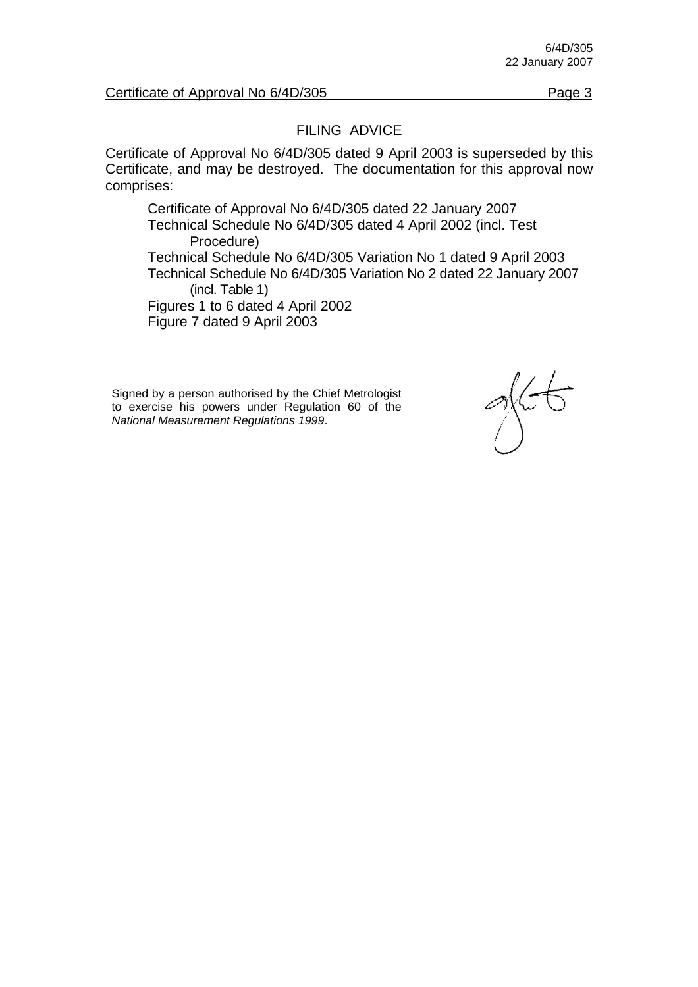#### FILING ADVICE

Certificate of Approval No 6/4D/305 dated 9 April 2003 is superseded by this Certificate, and may be destroyed. The documentation for this approval now comprises:

Certificate of Approval No 6/4D/305 dated 22 January 2007 Technical Schedule No 6/4D/305 dated 4 April 2002 (incl. Test Procedure) Technical Schedule No 6/4D/305 Variation No 1 dated 9 April 2003 Technical Schedule No 6/4D/305 Variation No 2 dated 22 January 2007 (incl. Table 1) Figures 1 to 6 dated 4 April 2002 Figure 7 dated 9 April 2003

Signed by a person authorised by the Chief Metrologist to exercise his powers under Regulation 60 of the *National Measurement Regulations 1999*.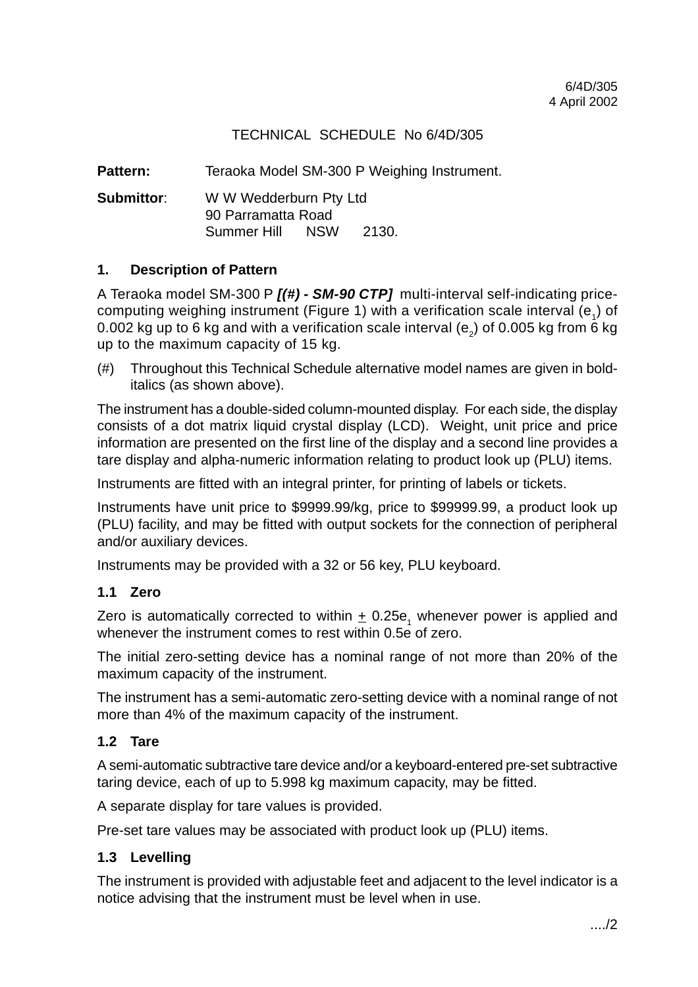#### TECHNICAL SCHEDULE No 6/4D/305

Pattern: Teraoka Model SM-300 P Weighing Instrument.

**Submittor**: W W Wedderburn Pty Ltd 90 Parramatta Road Summer Hill NSW 2130.

#### **1. Description of Pattern**

A Teraoka model SM-300 P **[(#) - SM-90 CTP]** multi-interval self-indicating pricecomputing weighing instrument (Figure 1) with a verification scale interval  $(e_1)$  of 0.002 kg up to 6 kg and with a verification scale interval  $(e_2)$  of 0.005 kg from 6 kg up to the maximum capacity of 15 kg.

(#) Throughout this Technical Schedule alternative model names are given in bolditalics (as shown above).

The instrument has a double-sided column-mounted display. For each side, the display consists of a dot matrix liquid crystal display (LCD). Weight, unit price and price information are presented on the first line of the display and a second line provides a tare display and alpha-numeric information relating to product look up (PLU) items.

Instruments are fitted with an integral printer, for printing of labels or tickets.

Instruments have unit price to \$9999.99/kg, price to \$99999.99, a product look up (PLU) facility, and may be fitted with output sockets for the connection of peripheral and/or auxiliary devices.

Instruments may be provided with a 32 or 56 key, PLU keyboard.

#### **1.1 Zero**

Zero is automatically corrected to within  $\pm$  0.25e<sub>1</sub> whenever power is applied and whenever the instrument comes to rest within 0.5e of zero.

The initial zero-setting device has a nominal range of not more than 20% of the maximum capacity of the instrument.

The instrument has a semi-automatic zero-setting device with a nominal range of not more than 4% of the maximum capacity of the instrument.

#### **1.2 Tare**

A semi-automatic subtractive tare device and/or a keyboard-entered pre-set subtractive taring device, each of up to 5.998 kg maximum capacity, may be fitted.

A separate display for tare values is provided.

Pre-set tare values may be associated with product look up (PLU) items.

#### **1.3 Levelling**

The instrument is provided with adjustable feet and adjacent to the level indicator is a notice advising that the instrument must be level when in use.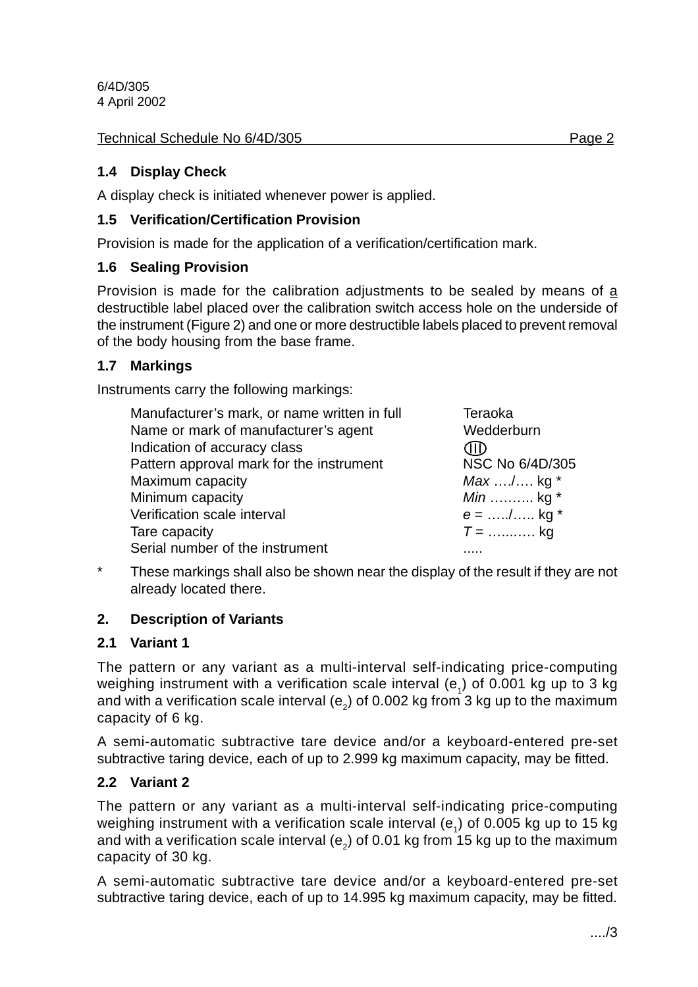Technical Schedule No 6/4D/305 Page 2

#### **1.4 Display Check**

A display check is initiated whenever power is applied.

#### **1.5 Verification/Certification Provision**

Provision is made for the application of a verification/certification mark.

#### **1.6 Sealing Provision**

Provision is made for the calibration adjustments to be sealed by means of a destructible label placed over the calibration switch access hole on the underside of the instrument (Figure 2) and one or more destructible labels placed to prevent removal of the body housing from the base frame.

#### **1.7 Markings**

Instruments carry the following markings:

| Manufacturer's mark, or name written in full | Teraoka           |
|----------------------------------------------|-------------------|
| Name or mark of manufacturer's agent         | Wedderburn        |
| Indication of accuracy class                 | ŒЮ                |
| Pattern approval mark for the instrument     | NSC No 6/4D/305   |
| Maximum capacity                             | <i>Max</i> / kg * |
| Minimum capacity                             | Min  kg *         |
| Verification scale interval                  | $e =$ / kg *      |
| Tare capacity                                | $T =$ kg          |
| Serial number of the instrument              |                   |

\* These markings shall also be shown near the display of the result if they are not already located there.

#### **2. Description of Variants**

#### **2.1 Variant 1**

The pattern or any variant as a multi-interval self-indicating price-computing weighing instrument with a verification scale interval (e<sub>1</sub>) of 0.001 kg up to 3 kg and with a verification scale interval (e<sub>2</sub>) of 0.002 kg from 3 kg up to the maximum capacity of 6 kg.

A semi-automatic subtractive tare device and/or a keyboard-entered pre-set subtractive taring device, each of up to 2.999 kg maximum capacity, may be fitted.

#### **2.2 Variant 2**

The pattern or any variant as a multi-interval self-indicating price-computing weighing instrument with a verification scale interval (e<sub>1</sub>) of 0.005 kg up to 15 kg and with a verification scale interval (e<sub>2</sub>) of 0.01 kg from 15 kg up to the maximum capacity of 30 kg.

A semi-automatic subtractive tare device and/or a keyboard-entered pre-set subtractive taring device, each of up to 14.995 kg maximum capacity, may be fitted.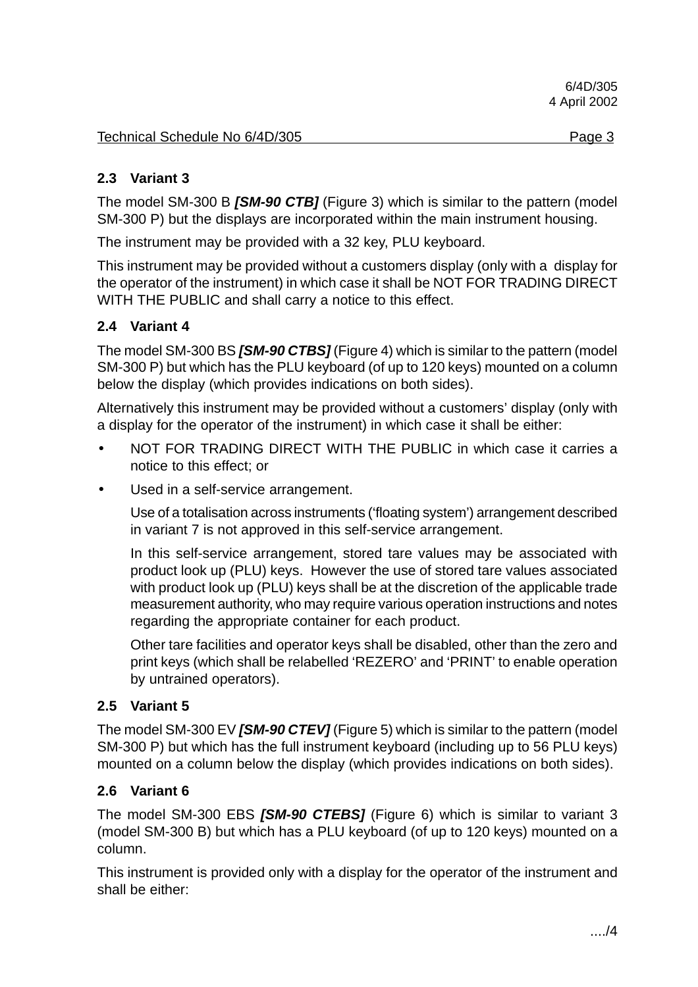#### **2.3 Variant 3**

The model SM-300 B **[SM-90 CTB]** (Figure 3) which is similar to the pattern (model SM-300 P) but the displays are incorporated within the main instrument housing.

The instrument may be provided with a 32 key, PLU keyboard.

This instrument may be provided without a customers display (only with a display for the operator of the instrument) in which case it shall be NOT FOR TRADING DIRECT WITH THE PUBLIC and shall carry a notice to this effect.

#### **2.4 Variant 4**

The model SM-300 BS **[SM-90 CTBS]** (Figure 4) which is similar to the pattern (model SM-300 P) but which has the PLU keyboard (of up to 120 keys) mounted on a column below the display (which provides indications on both sides).

Alternatively this instrument may be provided without a customers' display (only with a display for the operator of the instrument) in which case it shall be either:

- NOT FOR TRADING DIRECT WITH THE PUBLIC in which case it carries a notice to this effect; or
- Used in a self-service arrangement.

Use of a totalisation across instruments ('floating system') arrangement described in variant 7 is not approved in this self-service arrangement.

In this self-service arrangement, stored tare values may be associated with product look up (PLU) keys. However the use of stored tare values associated with product look up (PLU) keys shall be at the discretion of the applicable trade measurement authority, who may require various operation instructions and notes regarding the appropriate container for each product.

Other tare facilities and operator keys shall be disabled, other than the zero and print keys (which shall be relabelled 'REZERO' and 'PRINT' to enable operation by untrained operators).

#### **2.5 Variant 5**

The model SM-300 EV **[SM-90 CTEV]** (Figure 5) which is similar to the pattern (model SM-300 P) but which has the full instrument keyboard (including up to 56 PLU keys) mounted on a column below the display (which provides indications on both sides).

#### **2.6 Variant 6**

The model SM-300 EBS **[SM-90 CTEBS]** (Figure 6) which is similar to variant 3 (model SM-300 B) but which has a PLU keyboard (of up to 120 keys) mounted on a column.

This instrument is provided only with a display for the operator of the instrument and shall be either: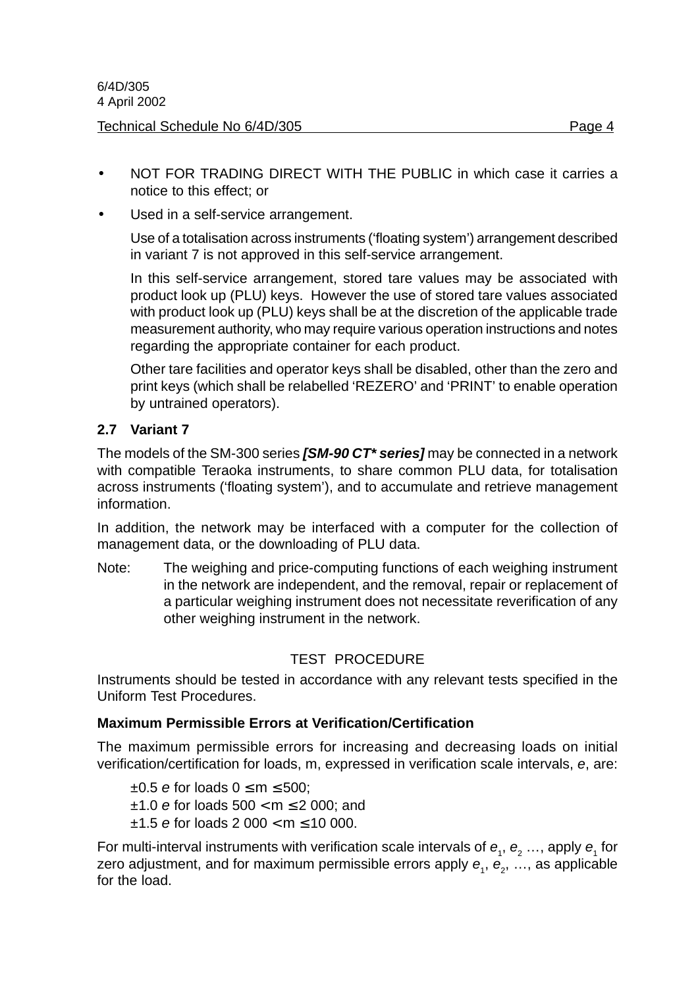- NOT FOR TRADING DIRECT WITH THE PUBLIC in which case it carries a notice to this effect; or
- Used in a self-service arrangement.

Use of a totalisation across instruments ('floating system') arrangement described in variant 7 is not approved in this self-service arrangement.

In this self-service arrangement, stored tare values may be associated with product look up (PLU) keys. However the use of stored tare values associated with product look up (PLU) keys shall be at the discretion of the applicable trade measurement authority, who may require various operation instructions and notes regarding the appropriate container for each product.

Other tare facilities and operator keys shall be disabled, other than the zero and print keys (which shall be relabelled 'REZERO' and 'PRINT' to enable operation by untrained operators).

#### **2.7 Variant 7**

The models of the SM-300 series **[SM-90 CT\* series]** may be connected in a network with compatible Teraoka instruments, to share common PLU data, for totalisation across instruments ('floating system'), and to accumulate and retrieve management information.

In addition, the network may be interfaced with a computer for the collection of management data, or the downloading of PLU data.

Note: The weighing and price-computing functions of each weighing instrument in the network are independent, and the removal, repair or replacement of a particular weighing instrument does not necessitate reverification of any other weighing instrument in the network.

#### TEST PROCEDURE

Instruments should be tested in accordance with any relevant tests specified in the Uniform Test Procedures.

#### **Maximum Permissible Errors at Verification/Certification**

The maximum permissible errors for increasing and decreasing loads on initial verification/certification for loads, m, expressed in verification scale intervals, e, are:

 $\pm 0.5$  e for loads  $0 \le m \le 500$ ;  $±1.0$  e for loads  $500 < m \le 2000$ ; and  $±1.5$  e for loads 2 000 < m  $≤ 10$  000.

For multi-interval instruments with verification scale intervals of  $e_1$ ,  $e_2$  ..., apply  $e_1$  for zero adjustment, and for maximum permissible errors apply  $\bm{e}_{_{1}},$   $\bm{e}_{_{2}},$  …, as applicable for the load.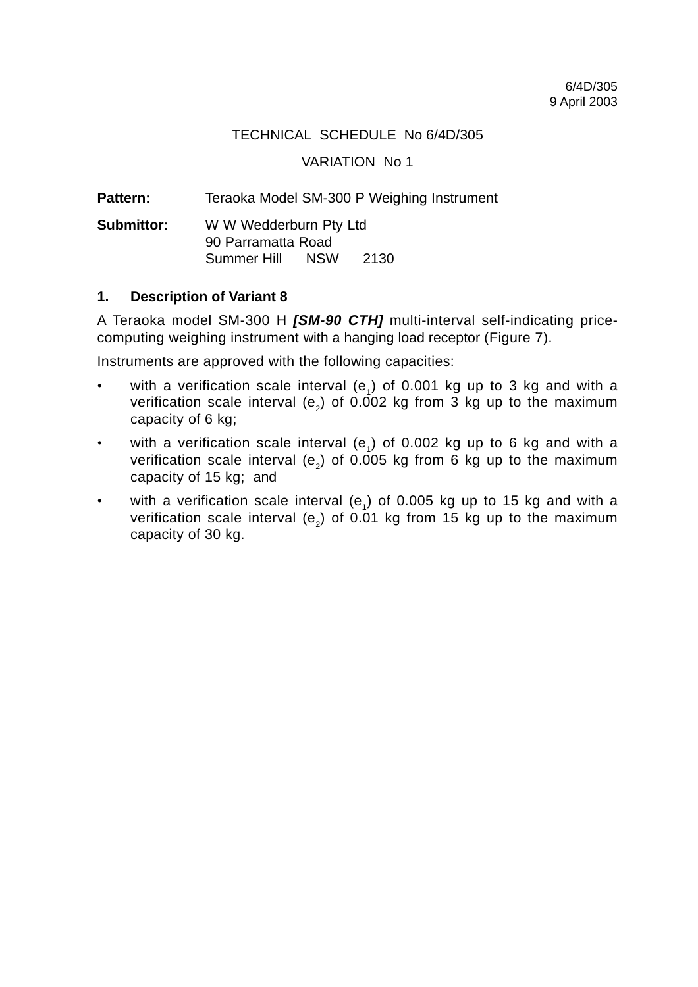#### TECHNICAL SCHEDULE No 6/4D/305

#### VARIATION No 1

Pattern: Teraoka Model SM-300 P Weighing Instrument

**Submittor:** W W Wedderburn Pty Ltd 90 Parramatta Road Summer Hill NSW 2130

#### **1. Description of Variant 8**

A Teraoka model SM-300 H **[SM-90 CTH]** multi-interval self-indicating pricecomputing weighing instrument with a hanging load receptor (Figure 7).

Instruments are approved with the following capacities:

- with a verification scale interval (e<sub>c</sub>) of 0.001 kg up to 3 kg and with a verification scale interval (e<sub>2</sub>) of 0.002 kg from 3 kg up to the maximum capacity of 6 kg;
- with a verification scale interval (e<sub>1</sub>) of 0.002 kg up to 6 kg and with a verification scale interval (e<sub>2</sub>) of 0.005 kg from 6 kg up to the maximum capacity of 15 kg; and
- with a verification scale interval  $(e_1)$  of 0.005 kg up to 15 kg and with a verification scale interval (e<sub>2</sub>) of 0.01 kg from 15 kg up to the maximum capacity of 30 kg.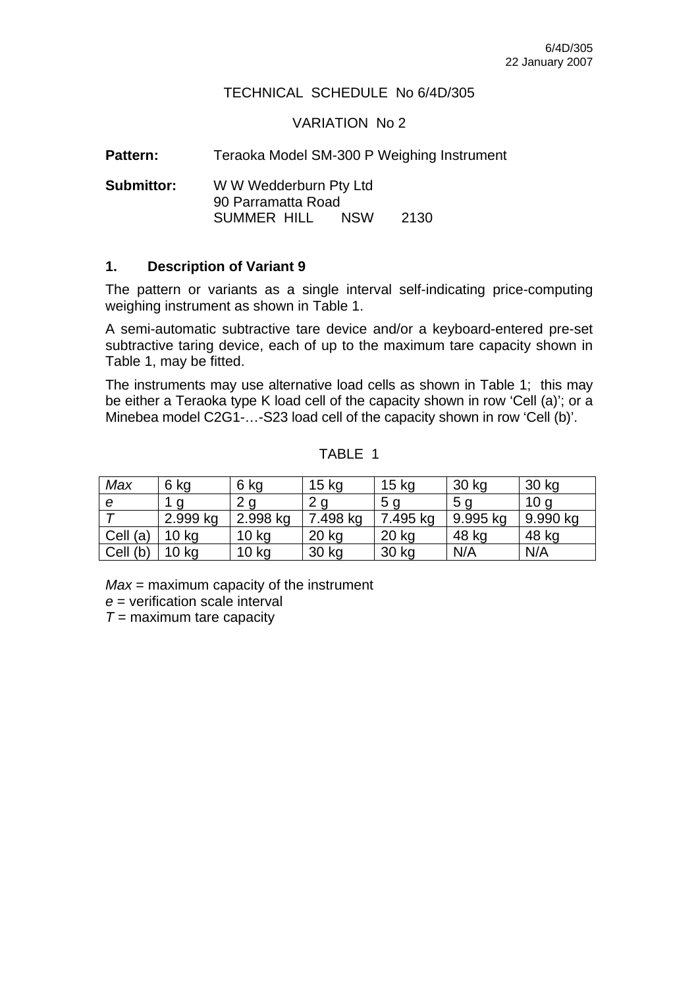#### TECHNICAL SCHEDULE No 6/4D/305

#### VARIATION No 2

Pattern: Teraoka Model SM-300 P Weighing Instrument

**Submittor:** W W Wedderburn Pty Ltd 90 Parramatta Road SUMMER HILL NSW 2130

#### **1. Description of Variant 9**

The pattern or variants as a single interval self-indicating price-computing weighing instrument as shown in Table 1.

A semi-automatic subtractive tare device and/or a keyboard-entered pre-set subtractive taring device, each of up to the maximum tare capacity shown in Table 1, may be fitted.

The instruments may use alternative load cells as shown in Table 1; this may be either a Teraoka type K load cell of the capacity shown in row 'Cell (a)'; or a Minebea model C2G1-…-S23 load cell of the capacity shown in row 'Cell (b)'.

| Max      | 6 kg             | 6 kg             | $15$ kg  | 15 <sub>kg</sub> | 30 kg          | 30 kg           |
|----------|------------------|------------------|----------|------------------|----------------|-----------------|
| е        | - a              |                  | ⌒        | 5 <sub>q</sub>   | 5 <sub>q</sub> | 10 <sub>q</sub> |
|          | 2.999 kg         | 2.998 kg         | 7.498 kg | 7.495 kg         | 9.995 kg       | 9.990 kg        |
| Cell (a) | 10 <sub>kg</sub> | 10 <sub>kg</sub> | 20 kg    | 20 kg            | 48 kg          | 48 kg           |
| Cell (b) | 10 <sub>ka</sub> | 10 <sub>kg</sub> | 30 kg    | 30 kg            | N/A            | N/A             |

#### TABLE 1

*Max* = maximum capacity of the instrument

*e* = verification scale interval

*T* = maximum tare capacity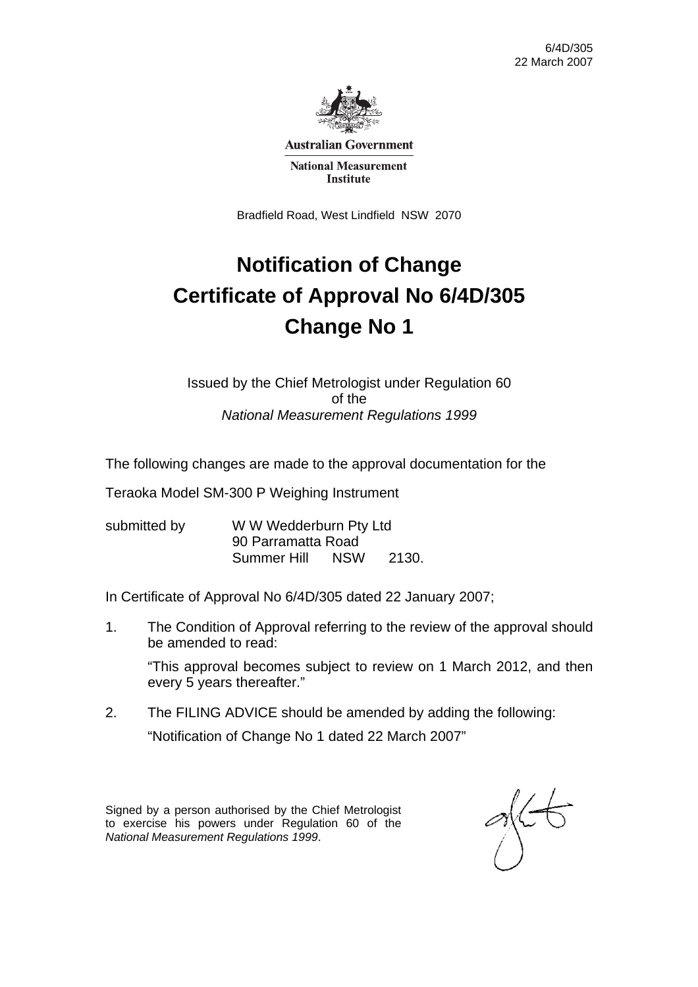

**Australian Government** 

**National Measurement Institute** 

Bradfield Road, West Lindfield NSW 2070

# **Notification of Change Certificate of Approval No 6/4D/305 Change No 1**

Issued by the Chief Metrologist under Regulation 60 of the *National Measurement Regulations 1999* 

The following changes are made to the approval documentation for the

Teraoka Model SM-300 P Weighing Instrument

submitted by WWW Wedderburn Pty Ltd 90 Parramatta Road Summer Hill NSW 2130.

In Certificate of Approval No 6/4D/305 dated 22 January 2007;

1. The Condition of Approval referring to the review of the approval should be amended to read:

 "This approval becomes subject to review on 1 March 2012, and then every 5 years thereafter."

2. The FILING ADVICE should be amended by adding the following: "Notification of Change No 1 dated 22 March 2007"

Signed by a person authorised by the Chief Metrologist to exercise his powers under Regulation 60 of the *National Measurement Regulations 1999*.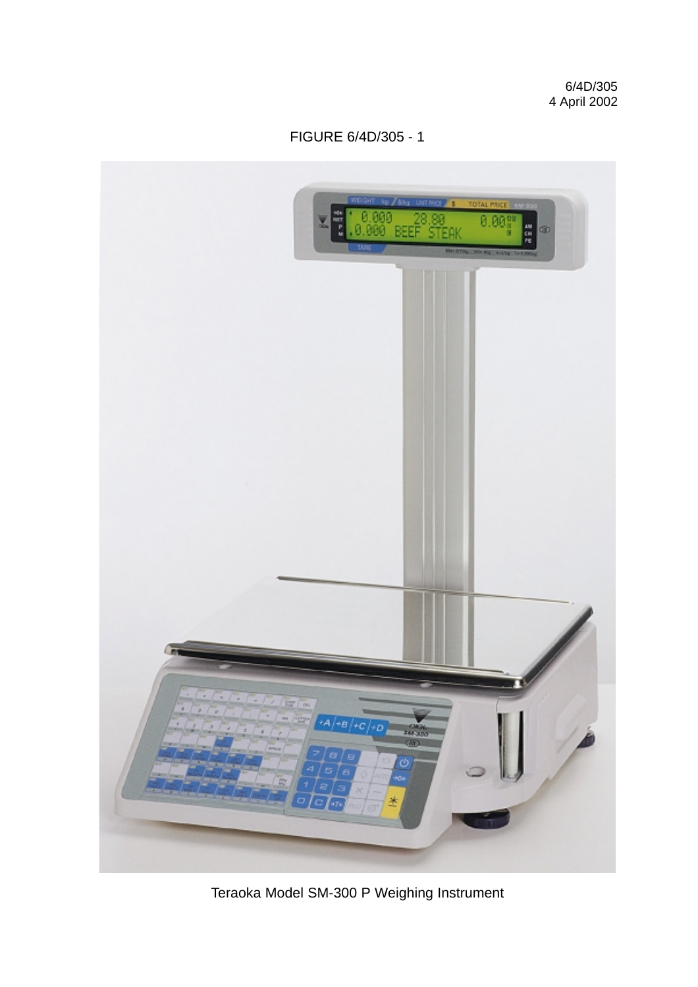

Teraoka Model SM-300 P Weighing Instrument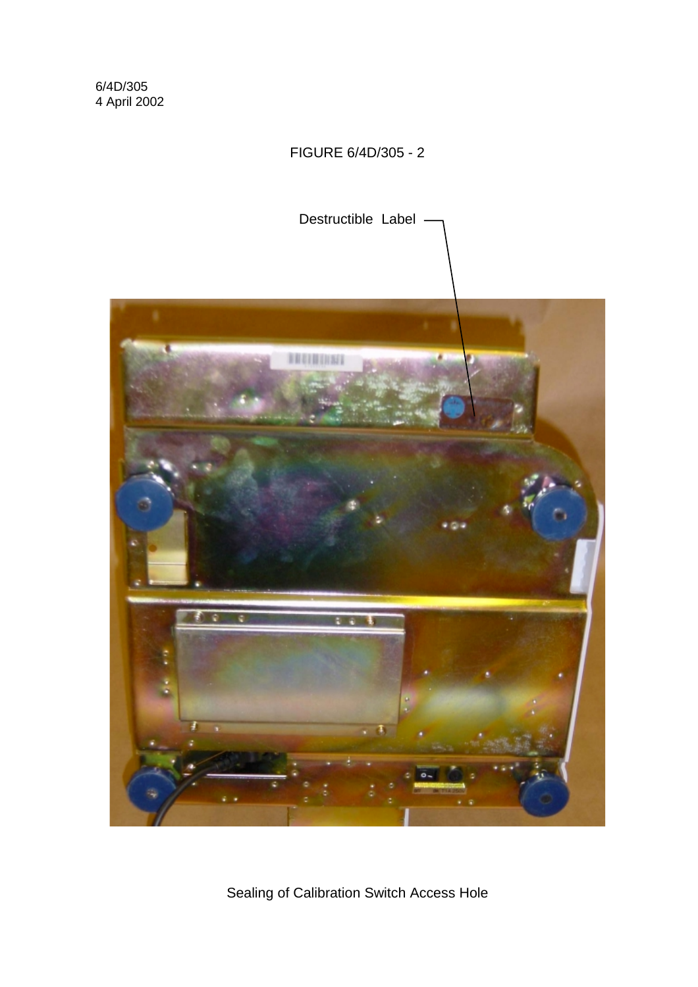### FIGURE 6/4D/305 - 2



Sealing of Calibration Switch Access Hole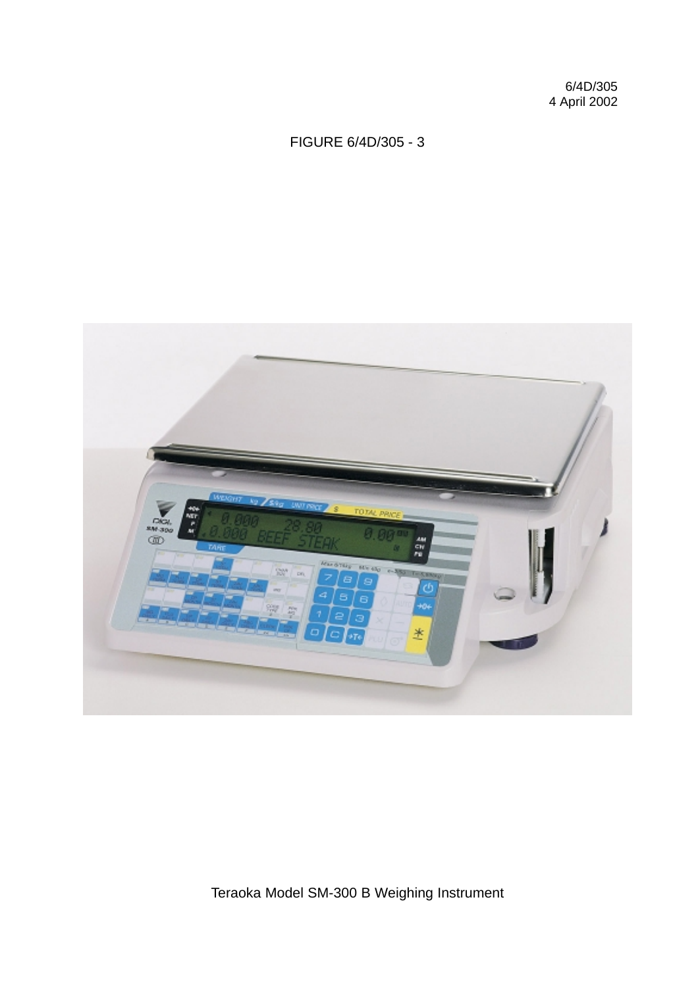### FIGURE 6/4D/305 - 3



Teraoka Model SM-300 B Weighing Instrument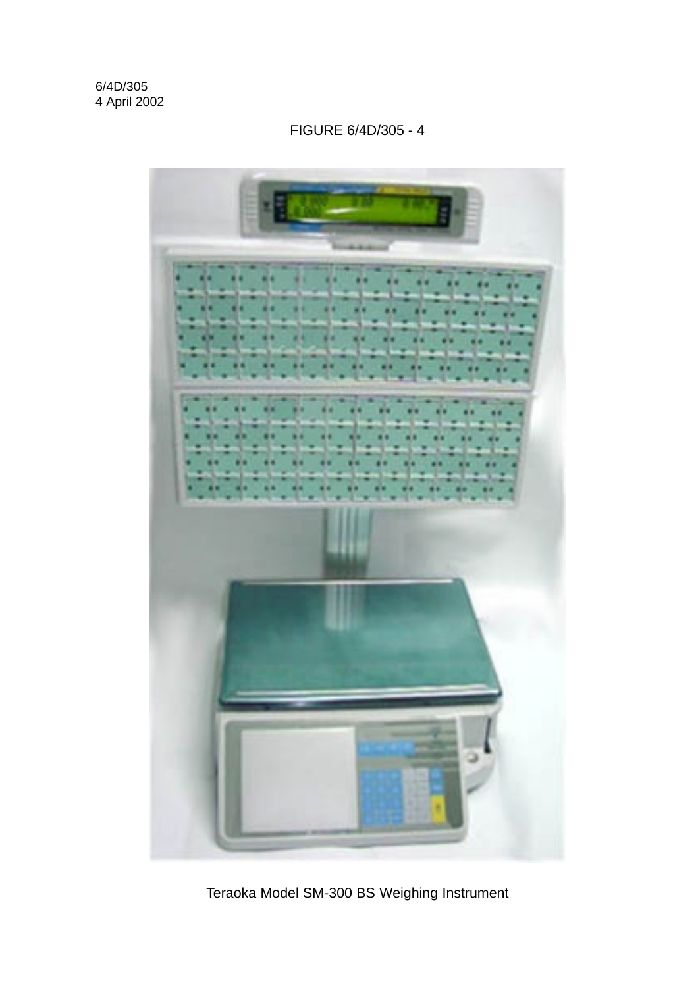# FIGURE 6/4D/305 - 4



Teraoka Model SM-300 BS Weighing Instrument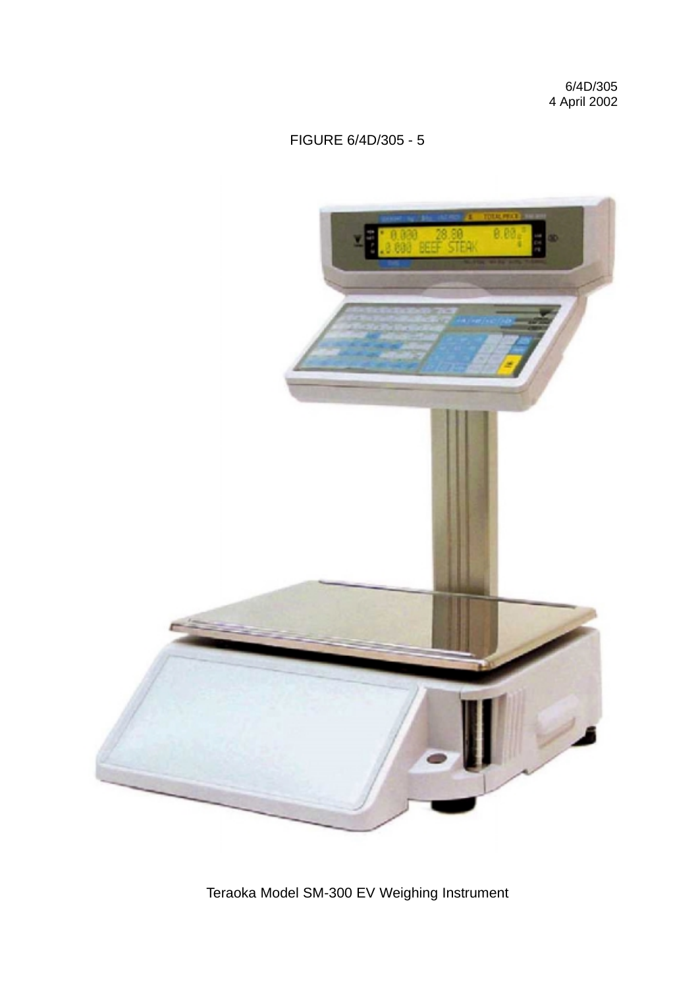

Teraoka Model SM-300 EV Weighing Instrument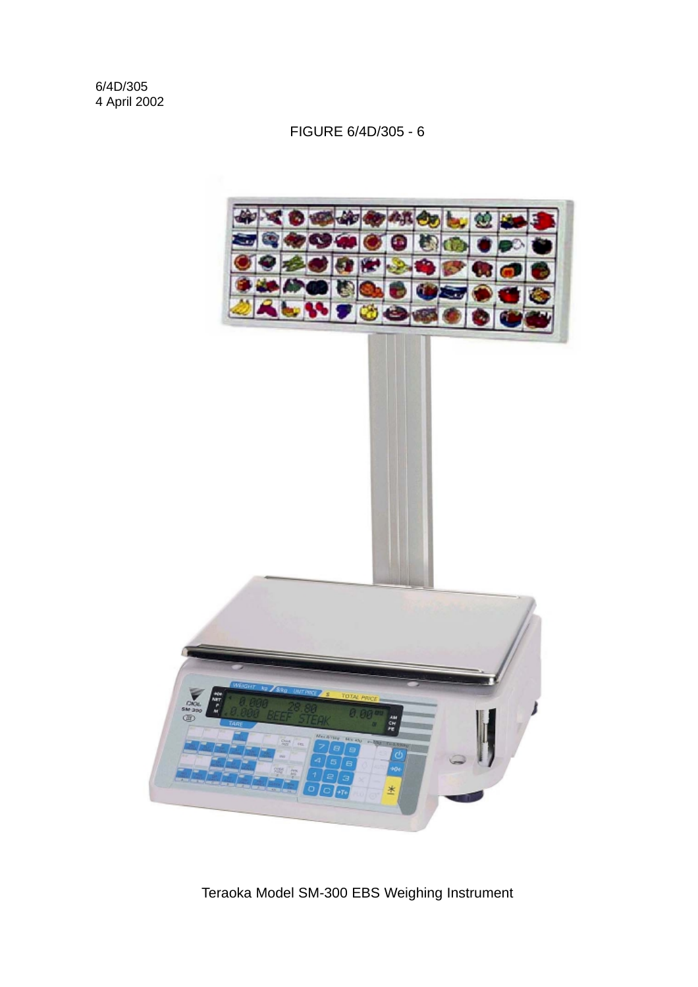![](_page_16_Picture_2.jpeg)

Teraoka Model SM-300 EBS Weighing Instrument